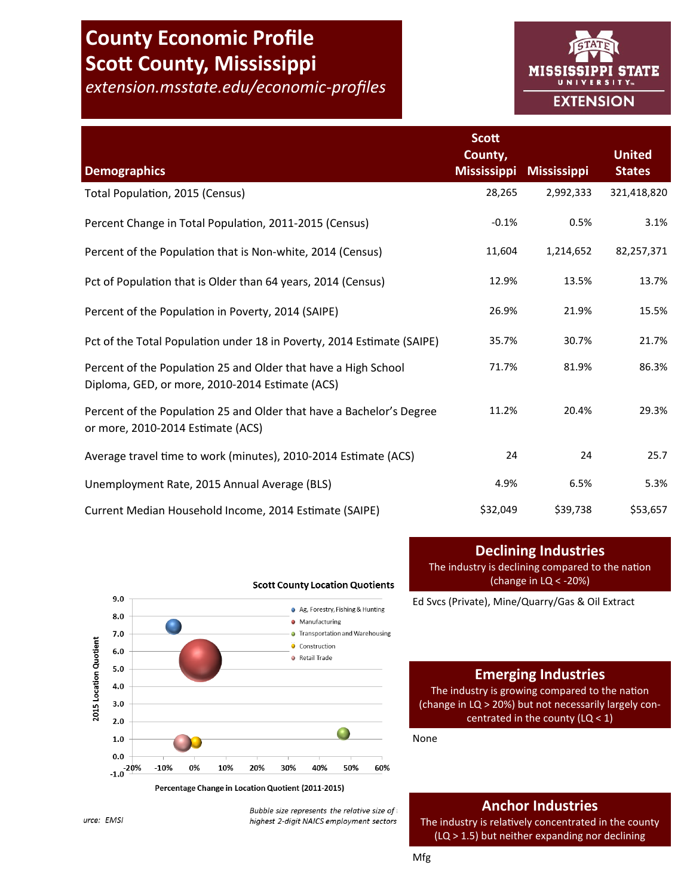# **County Economic Profile Scott County, Mississippi**

*extension.msstate.edu/economic-profiles*



|                                                                                                                   | Scott<br>County,   |                    | <b>United</b> |
|-------------------------------------------------------------------------------------------------------------------|--------------------|--------------------|---------------|
| <b>Demographics</b>                                                                                               | <b>Mississippi</b> | <b>Mississippi</b> | <b>States</b> |
| Total Population, 2015 (Census)                                                                                   | 28,265             | 2,992,333          | 321,418,820   |
| Percent Change in Total Population, 2011-2015 (Census)                                                            | $-0.1%$            | 0.5%               | 3.1%          |
| Percent of the Population that is Non-white, 2014 (Census)                                                        | 11,604             | 1,214,652          | 82,257,371    |
| Pct of Population that is Older than 64 years, 2014 (Census)                                                      | 12.9%              | 13.5%              | 13.7%         |
| Percent of the Population in Poverty, 2014 (SAIPE)                                                                | 26.9%              | 21.9%              | 15.5%         |
| Pct of the Total Population under 18 in Poverty, 2014 Estimate (SAIPE)                                            | 35.7%              | 30.7%              | 21.7%         |
| Percent of the Population 25 and Older that have a High School<br>Diploma, GED, or more, 2010-2014 Estimate (ACS) | 71.7%              | 81.9%              | 86.3%         |
| Percent of the Population 25 and Older that have a Bachelor's Degree<br>or more, 2010-2014 Estimate (ACS)         | 11.2%              | 20.4%              | 29.3%         |
| Average travel time to work (minutes), 2010-2014 Estimate (ACS)                                                   | 24                 | 24                 | 25.7          |
| Unemployment Rate, 2015 Annual Average (BLS)                                                                      | 4.9%               | 6.5%               | 5.3%          |
| Current Median Household Income, 2014 Estimate (SAIPE)                                                            | \$32,049           | \$39,738           | \$53,657      |



**Scott County Location Quotients** 

# **Declining Industries**

The industry is declining compared to the nation (change in LQ < -20%)

Ed Svcs (Private), Mine/Quarry/Gas & Oil Extract

# **Emerging Industries**

The industry is growing compared to the nation (change in LQ > 20%) but not necessarily largely concentrated in the county (LQ < 1)

None

# **Anchor Industries**

The industry is relatively concentrated in the county (LQ > 1.5) but neither expanding nor declining

urce: EMSI

Bubble size represents the relative size of highest 2-digit NAICS employment sectors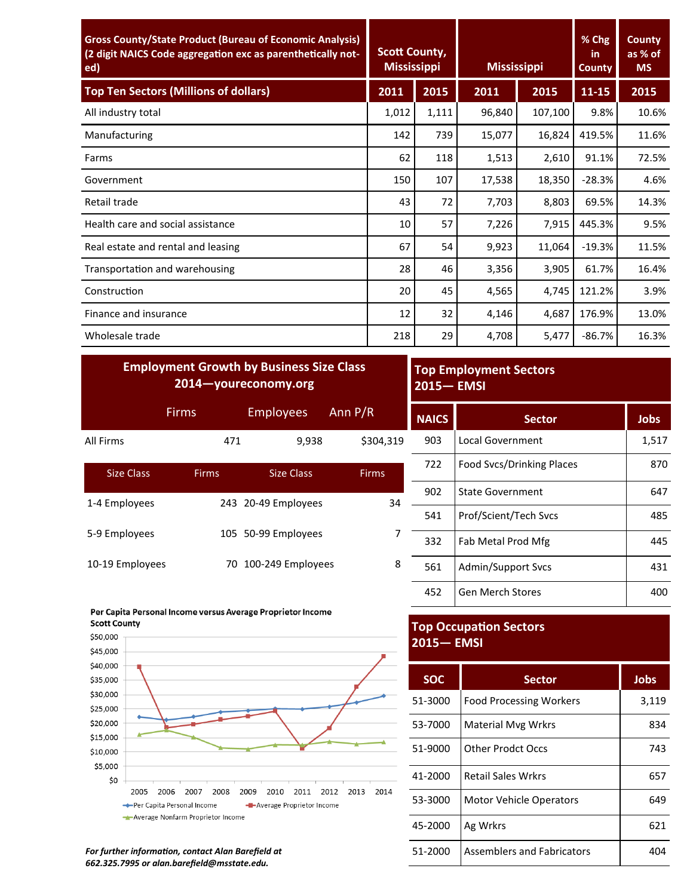| <b>Gross County/State Product (Bureau of Economic Analysis)</b><br>(2 digit NAICS Code aggregation exc as parenthetically not-<br>ed) | <b>Scott County,</b><br><b>Mississippi</b> |       | <b>Mississippi</b> |         | % Chg<br>in.<br><b>County</b> | <b>County</b><br>as % of<br><b>MS</b> |
|---------------------------------------------------------------------------------------------------------------------------------------|--------------------------------------------|-------|--------------------|---------|-------------------------------|---------------------------------------|
| <b>Top Ten Sectors (Millions of dollars)</b>                                                                                          | 2011                                       | 2015  | 2011               | 2015    | $11 - 15$                     | 2015                                  |
| All industry total                                                                                                                    | 1,012                                      | 1,111 | 96,840             | 107,100 | 9.8%                          | 10.6%                                 |
| Manufacturing                                                                                                                         | 142                                        | 739   | 15,077             | 16,824  | 419.5%                        | 11.6%                                 |
| Farms                                                                                                                                 | 62                                         | 118   | 1,513              | 2,610   | 91.1%                         | 72.5%                                 |
| Government                                                                                                                            | 150                                        | 107   | 17,538             | 18,350  | $-28.3%$                      | 4.6%                                  |
| Retail trade                                                                                                                          | 43                                         | 72    | 7,703              | 8,803   | 69.5%                         | 14.3%                                 |
| Health care and social assistance                                                                                                     | 10                                         | 57    | 7,226              | 7,915   | 445.3%                        | 9.5%                                  |
| Real estate and rental and leasing                                                                                                    | 67                                         | 54    | 9,923              | 11,064  | $-19.3%$                      | 11.5%                                 |
| Transportation and warehousing                                                                                                        | 28                                         | 46    | 3,356              | 3,905   | 61.7%                         | 16.4%                                 |
| Construction                                                                                                                          | 20                                         | 45    | 4,565              | 4,745   | 121.2%                        | 3.9%                                  |
| Finance and insurance                                                                                                                 | 12                                         | 32    | 4,146              | 4,687   | 176.9%                        | 13.0%                                 |
| Wholesale trade                                                                                                                       | 218                                        | 29    | 4,708              | 5,477   | $-86.7%$                      | 16.3%                                 |

| <b>Employment Growth by Business Size Class</b><br>2014-youreconomy.org |              |                     | <b>Top Employment Sectors</b><br><b>2015-EMSI</b> |              |                           |             |
|-------------------------------------------------------------------------|--------------|---------------------|---------------------------------------------------|--------------|---------------------------|-------------|
|                                                                         | <b>Firms</b> | <b>Employees</b>    | Ann $P/R$                                         | <b>NAICS</b> | <b>Sector</b>             | <b>Jobs</b> |
| All Firms                                                               | 471          | 9,938               | \$304,319                                         | 903          | <b>Local Government</b>   | 1,517       |
| <b>Size Class</b>                                                       | <b>Firms</b> | <b>Size Class</b>   | <b>Firms</b>                                      | 722          | Food Svcs/Drinking Places | 870         |
| 1-4 Employees                                                           |              | 243 20-49 Employees | 34                                                | 902          | <b>State Government</b>   | 647         |
|                                                                         |              |                     |                                                   | 541          | Prof/Scient/Tech Svcs     | 485         |
| 5-9 Employees                                                           |              | 105 50-99 Employees |                                                   | 332          | Fab Metal Prod Mfg        | 445         |
| 10-19 Employees                                                         | 70           | 100-249 Employees   | 8                                                 | 561          | Admin/Support Svcs        | 431         |



# 722 | Food Svcs/Drinking Places | 870

| 902 | <b>State Government</b> | 647 |
|-----|-------------------------|-----|
| 541 | Prof/Scient/Tech Svcs   | 485 |
| 332 | Fab Metal Prod Mfg      | 445 |
| 561 | Admin/Support Svcs      | 431 |
| 452 | Gen Merch Stores        |     |

# **Top Occupation Sectors 2015— EMSI**

| <b>SOC</b> | <b>Sector</b>                     | Jobs  |
|------------|-----------------------------------|-------|
| 51-3000    | <b>Food Processing Workers</b>    | 3,119 |
| 53-7000    | <b>Material Myg Wrkrs</b>         | 834   |
| 51-9000    | <b>Other Prodct Occs</b>          | 743   |
| 41-2000    | <b>Retail Sales Wrkrs</b>         | 657   |
| 53-3000    | <b>Motor Vehicle Operators</b>    | 649   |
| 45-2000    | Ag Wrkrs                          | 621   |
| 51-2000    | <b>Assemblers and Fabricators</b> | 404   |

*For further information, contact Alan Barefield at 662.325.7995 or alan.barefield@msstate.edu.*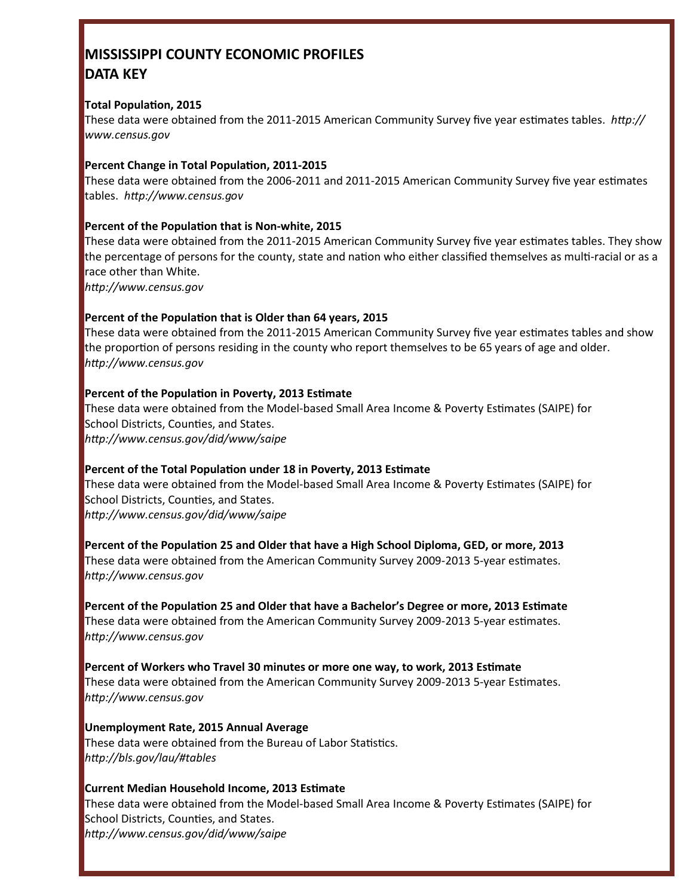# **MISSISSIPPI COUNTY ECONOMIC PROFILES DATA KEY**

#### **Total Population, 2015**

These data were obtained from the 2011-2015 American Community Survey five year estimates tables. *http:// www.census.gov*

### **Percent Change in Total Population, 2011-2015**

These data were obtained from the 2006-2011 and 2011-2015 American Community Survey five year estimates tables. *http://www.census.gov*

#### **Percent of the Population that is Non-white, 2015**

These data were obtained from the 2011-2015 American Community Survey five year estimates tables. They show the percentage of persons for the county, state and nation who either classified themselves as multi-racial or as a race other than White.

*http://www.census.gov*

## **Percent of the Population that is Older than 64 years, 2015**

These data were obtained from the 2011-2015 American Community Survey five year estimates tables and show the proportion of persons residing in the county who report themselves to be 65 years of age and older. *http://www.census.gov*

#### **Percent of the Population in Poverty, 2013 Estimate**

These data were obtained from the Model-based Small Area Income & Poverty Estimates (SAIPE) for School Districts, Counties, and States. *http://www.census.gov/did/www/saipe*

#### **Percent of the Total Population under 18 in Poverty, 2013 Estimate**

These data were obtained from the Model-based Small Area Income & Poverty Estimates (SAIPE) for School Districts, Counties, and States. *http://www.census.gov/did/www/saipe*

**Percent of the Population 25 and Older that have a High School Diploma, GED, or more, 2013** These data were obtained from the American Community Survey 2009-2013 5-year estimates. *http://www.census.gov*

**Percent of the Population 25 and Older that have a Bachelor's Degree or more, 2013 Estimate** These data were obtained from the American Community Survey 2009-2013 5-year estimates. *http://www.census.gov*

**Percent of Workers who Travel 30 minutes or more one way, to work, 2013 Estimate** These data were obtained from the American Community Survey 2009-2013 5-year Estimates. *http://www.census.gov*

**Unemployment Rate, 2015 Annual Average** These data were obtained from the Bureau of Labor Statistics. *http://bls.gov/lau/#tables*

## **Current Median Household Income, 2013 Estimate**

These data were obtained from the Model-based Small Area Income & Poverty Estimates (SAIPE) for School Districts, Counties, and States. *http://www.census.gov/did/www/saipe*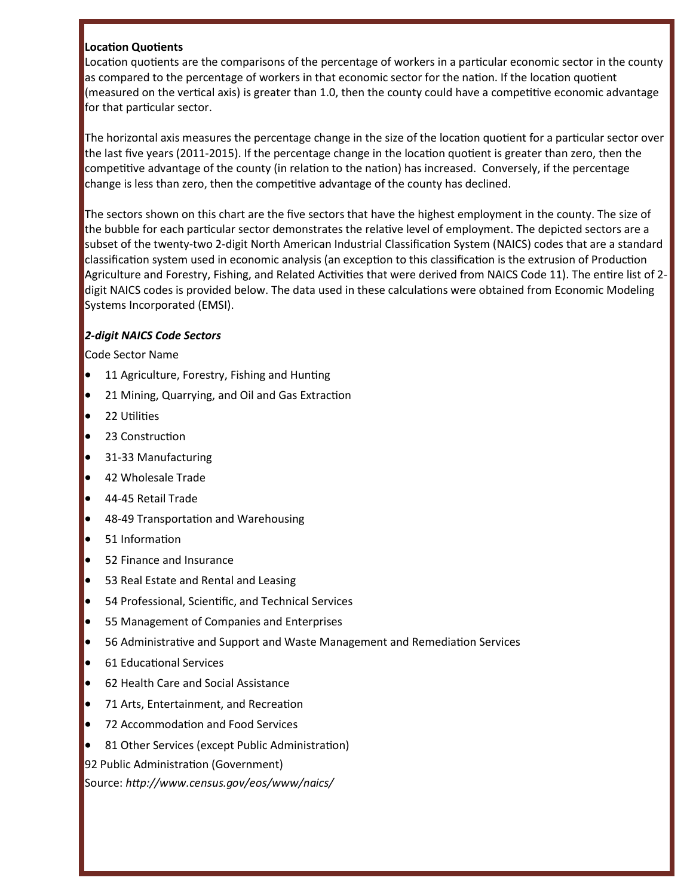#### **Location Quotients**

Location quotients are the comparisons of the percentage of workers in a particular economic sector in the county as compared to the percentage of workers in that economic sector for the nation. If the location quotient (measured on the vertical axis) is greater than 1.0, then the county could have a competitive economic advantage for that particular sector.

The horizontal axis measures the percentage change in the size of the location quotient for a particular sector over the last five years (2011-2015). If the percentage change in the location quotient is greater than zero, then the competitive advantage of the county (in relation to the nation) has increased. Conversely, if the percentage change is less than zero, then the competitive advantage of the county has declined.

The sectors shown on this chart are the five sectors that have the highest employment in the county. The size of the bubble for each particular sector demonstrates the relative level of employment. The depicted sectors are a subset of the twenty-two 2-digit North American Industrial Classification System (NAICS) codes that are a standard classification system used in economic analysis (an exception to this classification is the extrusion of Production Agriculture and Forestry, Fishing, and Related Activities that were derived from NAICS Code 11). The entire list of 2 digit NAICS codes is provided below. The data used in these calculations were obtained from Economic Modeling Systems Incorporated (EMSI).

#### *2-digit NAICS Code Sectors*

Code Sector Name

- 11 Agriculture, Forestry, Fishing and Hunting
- 21 Mining, Quarrying, and Oil and Gas Extraction
- 22 Utilities
- 23 Construction
- 31-33 Manufacturing
- 42 Wholesale Trade
- 44-45 Retail Trade
- 48-49 Transportation and Warehousing
- 51 Information
- 52 Finance and Insurance
- **•** 53 Real Estate and Rental and Leasing
- 54 Professional, Scientific, and Technical Services
- 55 Management of Companies and Enterprises
- 56 Administrative and Support and Waste Management and Remediation Services
- 61 Educational Services
- 62 Health Care and Social Assistance
- 71 Arts, Entertainment, and Recreation
- 72 Accommodation and Food Services
- 81 Other Services (except Public Administration)

92 Public Administration (Government)

Source: *http://www.census.gov/eos/www/naics/*